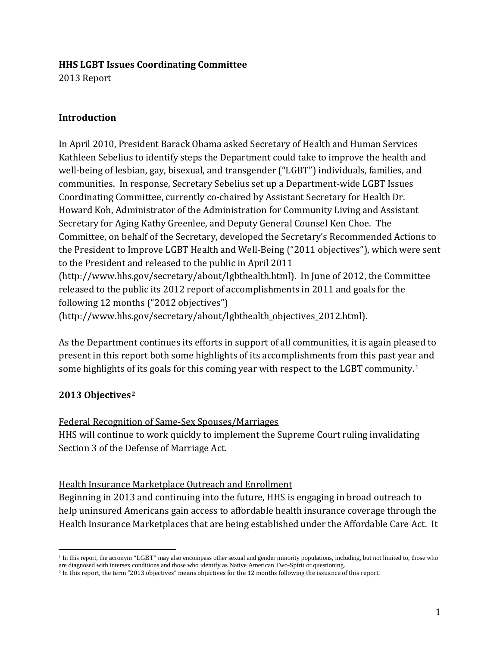#### **HHS LGBT Issues Coordinating Committee**

2013 Report

### **Introduction**

In April 2010, President Barack Obama asked Secretary of Health and Human Services Kathleen Sebelius to identify steps the Department could take to improve the health and well-being of lesbian, gay, bisexual, and transgender ("LGBT") individuals, families, and communities. In response, Secretary Sebelius set up a Department-wide LGBT Issues Coordinating Committee, currently co-chaired by Assistant Secretary for Health Dr. Howard Koh, Administrator of the Administration for Community Living and Assistant Secretary for Aging Kathy Greenlee, and Deputy General Counsel Ken Choe. The Committee, on behalf of the Secretary, developed the Secretary's Recommended Actions to the President to Improve LGBT Health and Well-Being ("2011 objectives"), which were sent to the President and released to the public in April 2011 (http://www.hhs.gov/secretary/about/lgbthealth.html). In June of 2012, the Committee released to the public its 2012 report of accomplishments in 2011 and goals for the following 12 months ("2012 objectives")

(http://www.hhs.gov/secretary/about/lgbthealth\_objectives\_2012.html).

As the Department continues its efforts in support of all communities, it is again pleased to present in this report both some highlights of its accomplishments from this past year and some highlights of its goals for this coming year with respect to the LGBT community.<sup>[1](#page-0-0)</sup>

# **2013 Objectives[2](#page-0-1)**

# Federal Recognition of Same-Sex Spouses/Marriages

HHS will continue to work quickly to implement the Supreme Court ruling invalidating Section 3 of the Defense of Marriage Act.

### Health Insurance Marketplace Outreach and Enrollment

Beginning in 2013 and continuing into the future, HHS is engaging in broad outreach to help uninsured Americans gain access to affordable health insurance coverage through the Health Insurance Marketplaces that are being established under the Affordable Care Act. It

<span id="page-0-0"></span> <sup>1</sup> In this report, the acronym "LGBT" may also encompass other sexual and gender minority populations, including, but not limited to, those who are diagnosed with intersex conditions and those who identify as Native American Two-Spirit or questioning.

<span id="page-0-1"></span><sup>2</sup> In this report, the term "2013 objectives" means objectives for the 12 months following the issuance of this report.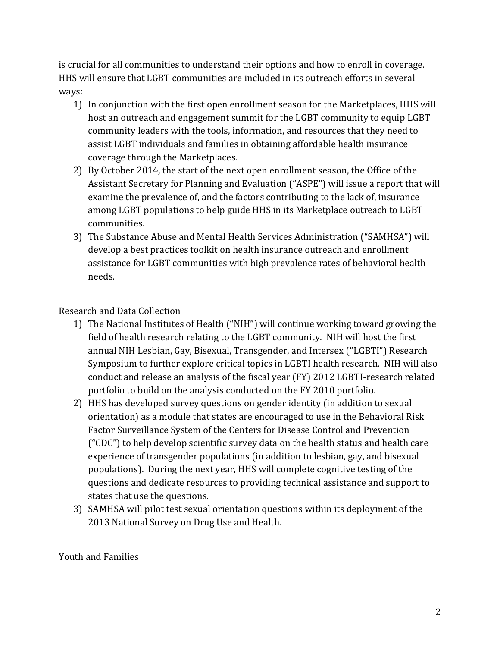is crucial for all communities to understand their options and how to enroll in coverage. HHS will ensure that LGBT communities are included in its outreach efforts in several ways:

- 1) In conjunction with the first open enrollment season for the Marketplaces, HHS will host an outreach and engagement summit for the LGBT community to equip LGBT community leaders with the tools, information, and resources that they need to assist LGBT individuals and families in obtaining affordable health insurance coverage through the Marketplaces.
- 2) By October 2014, the start of the next open enrollment season, the Office of the Assistant Secretary for Planning and Evaluation ("ASPE") will issue a report that will examine the prevalence of, and the factors contributing to the lack of, insurance among LGBT populations to help guide HHS in its Marketplace outreach to LGBT communities.
- 3) The Substance Abuse and Mental Health Services Administration ("SAMHSA") will develop a best practices toolkit on health insurance outreach and enrollment assistance for LGBT communities with high prevalence rates of behavioral health needs.

# **Research and Data Collection**

- 1) The National Institutes of Health ("NIH") will continue working toward growing the field of health research relating to the LGBT community. NIH will host the first annual NIH Lesbian, Gay, Bisexual, Transgender, and Intersex ("LGBTI") Research Symposium to further explore critical topics in LGBTI health research. NIH will also conduct and release an analysis of the fiscal year (FY) 2012 LGBTI-research related portfolio to build on the analysis conducted on the FY 2010 portfolio.
- 2) HHS has developed survey questions on gender identity (in addition to sexual orientation) as a module that states are encouraged to use in the Behavioral Risk Factor Surveillance System of the Centers for Disease Control and Prevention ("CDC") to help develop scientific survey data on the health status and health care experience of transgender populations (in addition to lesbian, gay, and bisexual populations). During the next year, HHS will complete cognitive testing of the questions and dedicate resources to providing technical assistance and support to states that use the questions.
- 3) SAMHSA will pilot test sexual orientation questions within its deployment of the 2013 National Survey on Drug Use and Health.

### **Youth and Families**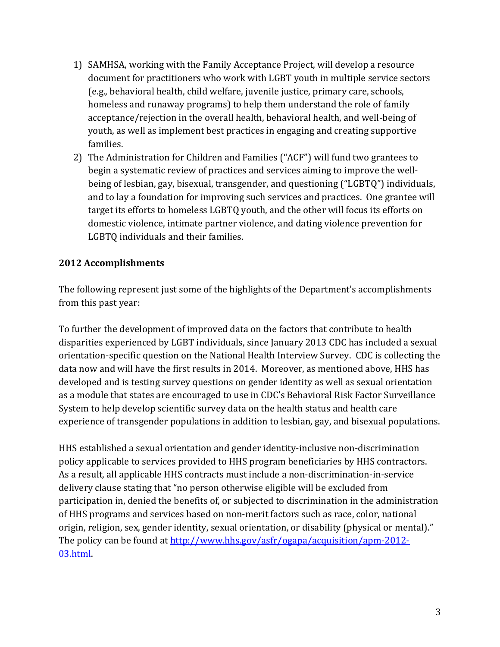- 1) SAMHSA, working with the Family Acceptance Project, will develop a resource document for practitioners who work with LGBT youth in multiple service sectors (e.g., behavioral health, child welfare, juvenile justice, primary care, schools, homeless and runaway programs) to help them understand the role of family acceptance/rejection in the overall health, behavioral health, and well-being of youth, as well as implement best practices in engaging and creating supportive families.
- 2) The Administration for Children and Families ("ACF") will fund two grantees to begin a systematic review of practices and services aiming to improve the wellbeing of lesbian, gay, bisexual, transgender, and questioning ("LGBTQ") individuals, and to lay a foundation for improving such services and practices. One grantee will target its efforts to homeless LGBTQ youth, and the other will focus its efforts on domestic violence, intimate partner violence, and dating violence prevention for LGBTQ individuals and their families.

### **2012 Accomplishments**

The following represent just some of the highlights of the Department's accomplishments from this past year:

To further the development of improved data on the factors that contribute to health disparities experienced by LGBT individuals, since January 2013 CDC has included a sexual orientation-specific question on the National Health Interview Survey. CDC is collecting the data now and will have the first results in 2014. Moreover, as mentioned above, HHS has developed and is testing survey questions on gender identity as well as sexual orientation as a module that states are encouraged to use in CDC's Behavioral Risk Factor Surveillance System to help develop scientific survey data on the health status and health care experience of transgender populations in addition to lesbian, gay, and bisexual populations.

HHS established a sexual orientation and gender identity-inclusive non-discrimination policy applicable to services provided to HHS program beneficiaries by HHS contractors. As a result, all applicable HHS contracts must include a non-discrimination-in-service delivery clause stating that "no person otherwise eligible will be excluded from participation in, denied the benefits of, or subjected to discrimination in the administration of HHS programs and services based on non-merit factors such as race, color, national origin, religion, sex, gender identity, sexual orientation, or disability (physical or mental)." The policy can be found at http://www.hhs.gov/asfr/ogapa/acquisition/apm-2012-03.html.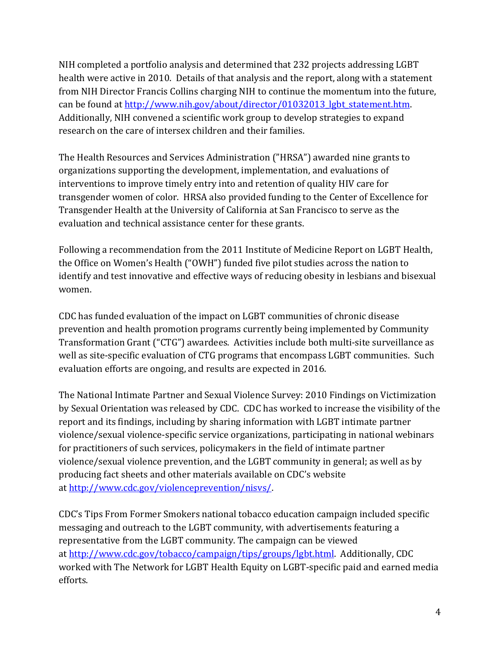NIH completed a portfolio analysis and determined that 232 projects addressing LGBT health were active in 2010. Details of that analysis and the report, along with a statement from NIH Director Francis Collins charging NIH to continue the momentum into the future, can be found at http://www.nih.gov/about/director/01032013 lgbt statement.htm. Additionally, NIH convened a scientific work group to develop strategies to expand research on the care of intersex children and their families.

The Health Resources and Services Administration ("HRSA") awarded nine grants to organizations supporting the development, implementation, and evaluations of interventions to improve timely entry into and retention of quality HIV care for transgender women of color. HRSA also provided funding to the Center of Excellence for Transgender Health at the University of California at San Francisco to serve as the evaluation and technical assistance center for these grants.

Following a recommendation from the 2011 Institute of Medicine Report on LGBT Health, the Office on Women's Health ("OWH") funded five pilot studies across the nation to identify and test innovative and effective ways of reducing obesity in lesbians and bisexual women.

CDC has funded evaluation of the impact on LGBT communities of chronic disease prevention and health promotion programs currently being implemented by Community Transformation Grant ("CTG") awardees. Activities include both multi-site surveillance as well as site-specific evaluation of CTG programs that encompass LGBT communities. Such evaluation efforts are ongoing, and results are expected in 2016.

The National Intimate Partner and Sexual Violence Survey: 2010 Findings on Victimization by Sexual Orientation was released by CDC. CDC has worked to increase the visibility of the report and its findings, including by sharing information with LGBT intimate partner violence/sexual violence-specific service organizations, participating in national webinars for practitioners of such services, policymakers in the field of intimate partner violence/sexual violence prevention, and the LGBT community in general; as well as by producing fact sheets and other materials available on CDC's website at [http://www.cdc.gov/violenceprevention/nisvs/.](http://www.cdc.gov/violenceprevention/nisvs/)

CDC's Tips From Former Smokers national tobacco education campaign included specific messaging and outreach to the LGBT community, with advertisements featuring a representative from the LGBT community. The campaign can be viewed at [http://www.cdc.gov/tobacco/campaign/tips/groups/lgbt.html.](http://www.cdc.gov/tobacco/campaign/tips/groups/lgbt.html) Additionally, CDC worked with The Network for LGBT Health Equity on LGBT-specific paid and earned media efforts.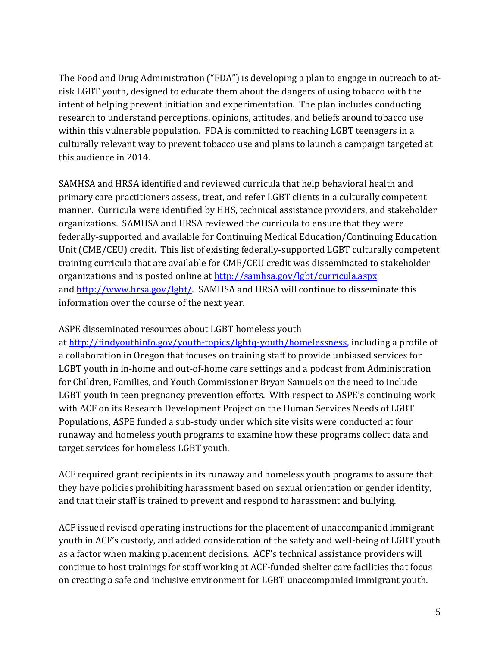The Food and Drug Administration ("FDA") is developing a plan to engage in outreach to atrisk LGBT youth, designed to educate them about the dangers of using tobacco with the intent of helping prevent initiation and experimentation. The plan includes conducting research to understand perceptions, opinions, attitudes, and beliefs around tobacco use within this vulnerable population. FDA is committed to reaching LGBT teenagers in a culturally relevant way to prevent tobacco use and plans to launch a campaign targeted at this audience in 2014.

SAMHSA and HRSA identified and reviewed curricula that help behavioral health and primary care practitioners assess, treat, and refer LGBT clients in a culturally competent manner. Curricula were identified by HHS, technical assistance providers, and stakeholder organizations. SAMHSA and HRSA reviewed the curricula to ensure that they were federally-supported and available for Continuing Medical Education/Continuing Education Unit (CME/CEU) credit. This list of existing federally-supported LGBT culturally competent training curricula that are available for CME/CEU credit was disseminated to stakeholder organizations and is posted online a[t http://samhsa.gov/lgbt/curricula.aspx](http://samhsa.gov/lgbt/curricula.aspx) and [http://www.hrsa.gov/lgbt/.](http://www.hrsa.gov/lgbt/) SAMHSA and HRSA will continue to disseminate this information over the course of the next year.

ASPE disseminated resources about LGBT homeless youth

at [http://findyouthinfo.gov/youth-topics/lgbtq-youth/homelessness,](http://findyouthinfo.gov/youth-topics/lgbtq-youth/homelessness) including a profile of a collaboration in Oregon that focuses on training staff to provide unbiased services for LGBT youth in in-home and out-of-home care settings and a podcast from Administration for Children, Families, and Youth Commissioner Bryan Samuels on the need to include LGBT youth in teen pregnancy prevention efforts. With respect to ASPE's continuing work with ACF on its Research Development Project on the Human Services Needs of LGBT Populations, ASPE funded a sub-study under which site visits were conducted at four runaway and homeless youth programs to examine how these programs collect data and target services for homeless LGBT youth.

ACF required grant recipients in its runaway and homeless youth programs to assure that they have policies prohibiting harassment based on sexual orientation or gender identity, and that their staff is trained to prevent and respond to harassment and bullying.

ACF issued revised operating instructions for the placement of unaccompanied immigrant youth in ACF's custody, and added consideration of the safety and well-being of LGBT youth as a factor when making placement decisions. ACF's technical assistance providers will continue to host trainings for staff working at ACF-funded shelter care facilities that focus on creating a safe and inclusive environment for LGBT unaccompanied immigrant youth.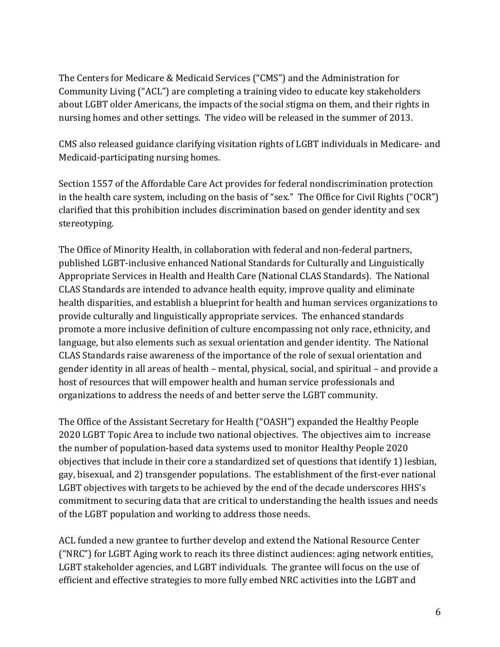The Centers for Medicare & Medicaid Services ("CMS") and the Administration for Community Living ("ACL") are completing a training video to educate key stakeholders about LGBT older Americans, the impacts of the social stigma on them, and their rights in nursing homes and other settings. The video will be released in the summer of 2013.

CMS also released guidance clarifying visitation rights of LGBT individuals in Medicare- and Medicaid-participating nursing homes.

Section 1557 of the Affordable Care Act provides for federal nondiscrimination protection in the health care system, including on the basis of "sex." The Office for Civil Rights ("OCR") clarified that this prohibition includes discrimination based on gender identity and sex stereotyping.

The Office of Minority Health, in collaboration with federal and non-federal partners, published LGBT-inclusive enhanced National Standards for Culturally and Linguistically Appropriate Services in Health and Health Care (National CLAS Standards). The National CLAS Standards are intended to advance health equity, improve quality and eliminate health disparities, and establish a blueprint for health and human services organizations to provide culturally and linguistically appropriate services. The enhanced standards promote a more inclusive definition of culture encompassing not only race, ethnicity, and language, but also elements such as sexual orientation and gender identity. The National CLAS Standards raise awareness of the importance of the role of sexual orientation and gender identity in all areas of health – mental, physical, social, and spiritual – and provide a host of resources that will empower health and human service professionals and organizations to address the needs of and better serve the LGBT community.

The Office of the Assistant Secretary for Health ("OASH") expanded the Healthy People 2020 LGBT Topic Area to include two national objectives. The objectives aim to increase the number of population-based data systems used to monitor Healthy People 2020 objectives that include in their core a standardized set of questions that identify 1) lesbian, gay, bisexual, and 2) transgender populations. The establishment of the first-ever national LGBT objectives with targets to be achieved by the end of the decade underscores HHS's commitment to securing data that are critical to understanding the health issues and needs of the LGBT population and working to address those needs.

ACL funded a new grantee to further develop and extend the National Resource Center ("NRC") for LGBT Aging work to reach its three distinct audiences: aging network entities, LGBT stakeholder agencies, and LGBT individuals. The grantee will focus on the use of efficient and effective strategies to more fully embed NRC activities into the LGBT and